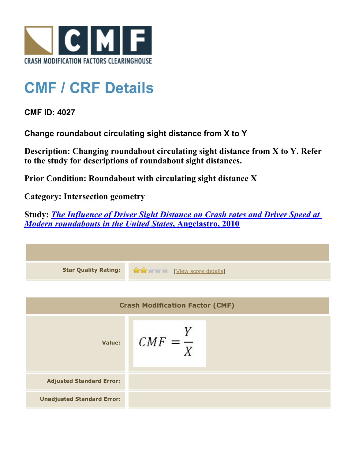

## **CMF / CRF Details**

**CMF ID: 4027**

**Change roundabout circulating sight distance from X to Y**

**Description: Changing roundabout circulating sight distance from X to Y. Refer to the study for descriptions of roundabout sight distances.**

**Prior Condition: Roundabout with circulating sight distance X**

**Category: Intersection geometry**

**Study:** *[The Influence of Driver Sight Distance on Crash rates and Driver Speed at](http://www.cmfclearinghouse.org/study_detail.cfm?stid=256) [Modern roundabouts in the United States](http://www.cmfclearinghouse.org/study_detail.cfm?stid=256)***[, Angelastro, 2010](http://www.cmfclearinghouse.org/study_detail.cfm?stid=256)**

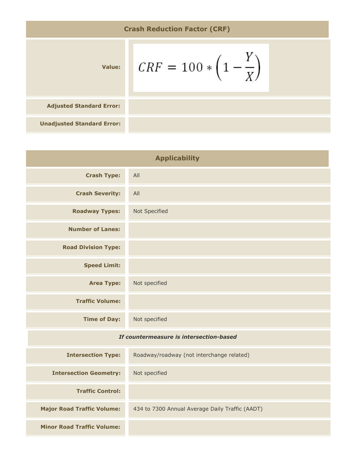Crash Reduction Factor (CRF)

\nValue:

\n
$$
CRF = 100 * \left(1 - \frac{Y}{X}\right)
$$
\nadjusted Standard Error:

\nUnadjusted Standard Error:

| <b>Applicability</b>                    |                                                 |
|-----------------------------------------|-------------------------------------------------|
| <b>Crash Type:</b>                      | All                                             |
| <b>Crash Severity:</b>                  | All                                             |
| <b>Roadway Types:</b>                   | Not Specified                                   |
| <b>Number of Lanes:</b>                 |                                                 |
| <b>Road Division Type:</b>              |                                                 |
| <b>Speed Limit:</b>                     |                                                 |
| <b>Area Type:</b>                       | Not specified                                   |
| <b>Traffic Volume:</b>                  |                                                 |
| <b>Time of Day:</b>                     | Not specified                                   |
| If countermeasure is intersection-based |                                                 |
| <b>Intersection Type:</b>               | Roadway/roadway (not interchange related)       |
| <b>Intersection Geometry:</b>           | Not specified                                   |
| <b>Traffic Control:</b>                 |                                                 |
| <b>Major Road Traffic Volume:</b>       | 434 to 7300 Annual Average Daily Traffic (AADT) |
| <b>Minor Road Traffic Volume:</b>       |                                                 |